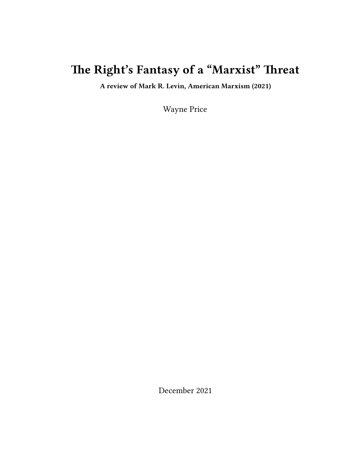## **The Right's Fantasy of a "Marxist" Threat**

**A review of Mark R. Levin, American Marxism (2021)**

Wayne Price

December 2021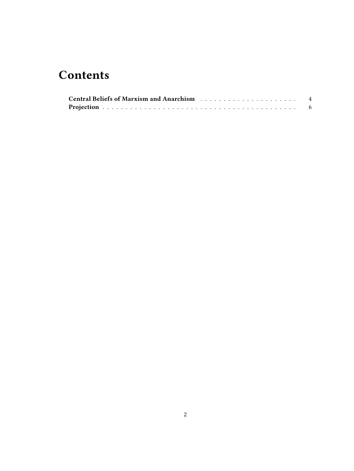## **Contents**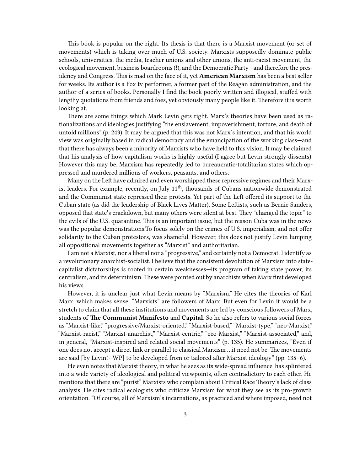This book is popular on the right. Its thesis is that there is a Marxist movement (or set of movements) which is taking over much of U.S. society. Marxists supposedly dominate public schools, universities, the media, teacher unions and other unions, the anti-racist movement, the ecological movement, business boardrooms (!), and the Democratic Party—and therefore the presidency and Congress. This is mad on the face of it, yet **American Marxism** has been a best seller for weeks. Its author is a Fox tv performer, a former part of the Reagan administration, and the author of a series of books. Personally I find the book poorly written and illogical, stuffed with lengthy quotations from friends and foes, yet obviously many people like it. Therefore it is worth looking at.

There are some things which Mark Levin gets right. Marx's theories have been used as rationalizations and ideologies justifying "the enslavement, impoverishment, torture, and death of untold millions" (p. 243). It may be argued that this was not Marx's intention, and that his world view was originally based in radical democracy and the emancipation of the working class—and that there has always been a minority of Marxists who have held to this vision. It may be claimed that his analysis of how capitalism works is highly useful (I agree but Levin strongly dissents). However this may be, Marxism has repeatedly led to bureaucratic-totalitarian states which oppressed and murdered millions of workers, peasants, and others.

Many on the Left have admired and even worshipped these repressive regimes and their Marxist leaders. For example, recently, on July 11<sup>th</sup>, thousands of Cubans nationwide demonstrated and the Communist state repressed their protests. Yet part of the Left offered its support to the Cuban state (as did the leadership of Black Lives Matter). Some Leftists, such as Bernie Sanders, opposed that state's crackdown, but many others were silent at best. They "changed the topic" to the evils of the U.S. quarantine. This is an important issue, but the reason Cuba was in the news was the popular demonstrations.To focus solely on the crimes of U.S. imperialism, and not offer solidarity to the Cuban protestors, was shameful. However, this does not justify Levin lumping all oppositional movements together as "Marxist" and authoritarian.

I am not a Marxist, nor a liberal nor a "progressive," and certainly not a Democrat. I identify as a revolutionary anarchist-socialist. I believe that the consistent devolution of Marxism into statecapitalist dictatorships is rooted in certain weaknesses—its program of taking state power, its centralism, and its determinism. These were pointed out by anarchists when Marx first developed his views.

However, it is unclear just what Levin means by "Marxism." He cites the theories of Karl Marx, which makes sense: "Marxists" are followers of Marx. But even for Levin it would be a stretch to claim that all these institutions and movements are led by conscious followers of Marx, students of **The Communist Manifesto** and **Capital**. So he also refers to various social forces as "Marxist-like," "progressive/Marxist-oriented," "Marxist-based," "Marxist-type," "neo-Marxist," "Marxist-racist," "Marxist-anarchist," "Marxist-centric," "eco-Marxist," "Marxist-associated," and, in general, "Marxist-inspired and related social movements" (p. 135). He summarizes, "Even if one does not accept a direct link or parallel to classical Marxism …it need not be. The movements are said [by Levin!—WP] to be developed from or tailored after Marxist ideology" (pp. 135–6).

He even notes that Marxist theory, in what he sees as its wide-spread influence, has splintered into a wide variety of ideological and political viewpoints, often contradictory to each other. He mentions that there are "purist" Marxists who complain about Critical Race Theory's lack of class analysis. He cites radical ecologists who criticize Marxism for what they see as its pro-growth orientation. "Of course, all of Marxism's incarnations, as practiced and where imposed, need not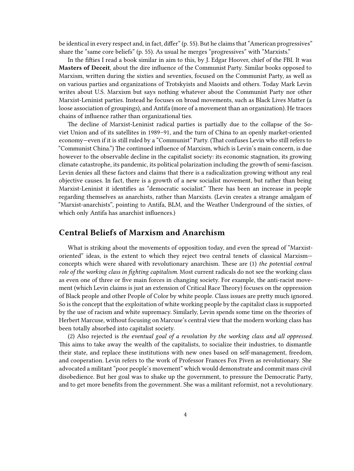be identical in every respect and, in fact, differ" (p. 55). But he claims that "American progressives" share the "same core beliefs" (p. 55). As usual he merges "progressives" with "Marxists."

In the fifties I read a book similar in aim to this, by J. Edgar Hoover, chief of the FBI. It was **Masters of Deceit**, about the dire influence of the Communist Party. Similar books opposed to Marxism, written during the sixties and seventies, focused on the Communist Party, as well as on various parties and organizations of Trotskyists and Maoists and others. Today Mark Levin writes about U.S. Marxism but says nothing whatever about the Communist Party nor other Marxist-Leninist parties. Instead he focuses on broad movements, such as Black Lives Matter (a loose association of groupings), and Antifa (more of a movement than an organization). He traces chains of influence rather than organizational ties.

The decline of Marxist-Leninist radical parties is partially due to the collapse of the Soviet Union and of its satellites in 1989–91, and the turn of China to an openly market-oriented economy—even if it is still ruled by a "Communist" Party. (That confuses Levin who still refers to "Communist China.") The continued influence of Marxism, which is Levin's main concern, is due however to the observable decline in the capitalist society: its economic stagnation, its growing climate catastrophe, its pandemic, its political polarization including the growth of semi-fascism. Levin denies all these factors and claims that there is a radicalization growing without any real objective causes. In fact, there is a growth of a new socialist movement, but rather than being Marxist-Leninist it identifies as "democratic socialist." There has been an increase in people regarding themselves as anarchists, rather than Marxists. (Levin creates a strange amalgam of "Marxist-anarchists", pointing to Antifa, BLM, and the Weather Underground of the sixties, of which only Antifa has anarchist influences.)

## <span id="page-3-0"></span>**Central Beliefs of Marxism and Anarchism**

What is striking about the movements of opposition today, and even the spread of "Marxistoriented" ideas, is the extent to which they reject two central tenets of classical Marxism concepts which were shared with revolutionary anarchism. These are (1) *the potential central role of the working class in fighting capitalism*. Most current radicals do not see the working class as even one of three or five main forces in changing society. For example, the anti-racist movement (which Levin claims is just an extension of Critical Race Theory) focuses on the oppression of Black people and other People of Color by white people. Class issues are pretty much ignored. So is the concept that the exploitation of white working people by the capitalist class is supported by the use of racism and white supremacy. Similarly, Levin spends some time on the theories of Herbert Marcuse, without focusing on Marcuse's central view that the modern working class has been totally absorbed into capitalist society.

(2) Also rejected is *the eventual goal of a revolution by the working class and all oppressed.* This aims to take away the wealth of the capitalists, to socialize their industries, to dismantle their state, and replace these institutions with new ones based on self-management, freedom, and cooperation. Levin refers to the work of Professor Frances Fox Piven as revolutionary. She advocated a militant "poor people's movement" which would demonstrate and commit mass civil disobedience. But her goal was to shake up the government, to pressure the Democratic Party, and to get more benefits from the government. She was a militant reformist, not a revolutionary.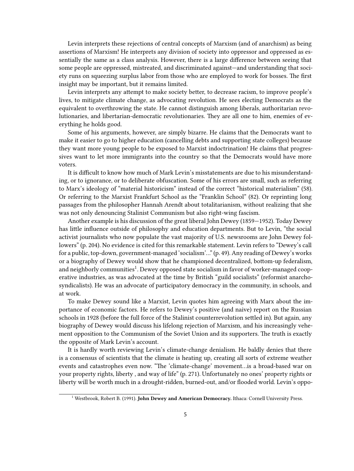Levin interprets these rejections of central concepts of Marxism (and of anarchism) as being assertions of Marxism! He interprets any division of society into oppressor and oppressed as essentially the same as a class analysis. However, there is a large difference between seeing that some people are oppressed, mistreated, and discriminated against—and understanding that society runs on squeezing surplus labor from those who are employed to work for bosses. The first insight may be important, but it remains limited.

Levin interprets any attempt to make society better, to decrease racism, to improve people's lives, to mitigate climate change, as advocating revolution. He sees electing Democrats as the equivalent to overthrowing the state. He cannot distinguish among liberals, authoritarian revolutionaries, and libertarian-democratic revolutionaries. They are all one to him, enemies of everything he holds good.

Some of his arguments, however, are simply bizarre. He claims that the Democrats want to make it easier to go to higher education (cancelling debts and supporting state colleges) because they want more young people to be exposed to Marxist indoctrination! He claims that progressives want to let more immigrants into the country so that the Democrats would have more voters.

It is difficult to know how much of Mark Levin's misstatements are due to his misunderstanding, or to ignorance, or to deliberate obfuscation. Some of his errors are small, such as referring to Marx's ideology of "material historicism" instead of the correct "historical materialism" (58). Or referring to the Marxist Frankfurt School as the "Franklin School" (82). Or reprinting long passages from the philosopher Hannah Arendt about totalitarianism, without realizing that she was not only denouncing Stalinist Communism but also right-wing fascism.

Another example is his discussion of the great liberal John Dewey (1859—1952). Today Dewey has little influence outside of philosophy and education departments. But to Levin, "the social activist journalists who now populate the vast majority of U.S. newsrooms are John Dewey followers" (p. 204). No evidence is cited for this remarkable statement. Levin refers to "Dewey's call for a public, top-down, government-managed 'socialism'…" (p. 49). Any reading of Dewey's works or a biography of Dewey would show that he championed decentralized, bottom-up federalism, and neighborly communities $^1$ . Dewey opposed state socialism in favor of worker-managed cooperative industries, as was advocated at the time by British "guild socialists" (reformist anarchosyndicalists). He was an advocate of participatory democracy in the community, in schools, and at work.

To make Dewey sound like a Marxist, Levin quotes him agreeing with Marx about the importance of economic factors. He refers to Dewey's positive (and naive) report on the Russian schools in 1928 (before the full force of the Stalinist counterrevolution settled in). But again, any biography of Dewey would discuss his lifelong rejection of Marxism, and his increasingly vehement opposition to the Communism of the Soviet Union and its supporters. The truth is exactly the opposite of Mark Levin's account.

It is hardly worth reviewing Levin's climate-change denialism. He baldly denies that there is a consensus of scientists that the climate is heating up, creating all sorts of extreme weather events and catastrophes even now. "The 'climate-change' movement…is a broad-based war on your property rights, liberty , and way of life" (p. 271). Unfortunately no ones' property rights or liberty will be worth much in a drought-ridden, burned-out, and/or flooded world. Levin's oppo-

<sup>1</sup> Westbrook, Robert B. (1991). **John Dewey and American Democracy.** Ithaca: Cornell University Press.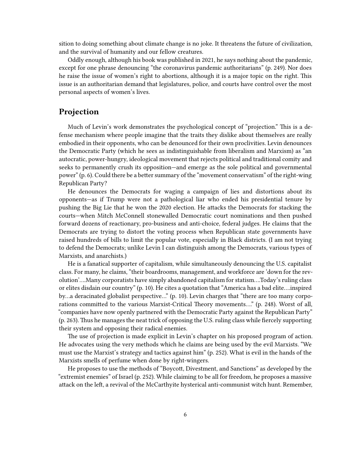sition to doing something about climate change is no joke. It threatens the future of civilization, and the survival of humanity and our fellow creatures.

Oddly enough, although his book was published in 2021, he says nothing about the pandemic, except for one phrase denouncing "the coronavirus pandemic authoritarians" (p. 249). Nor does he raise the issue of women's right to abortions, although it is a major topic on the right. This issue is an authoritarian demand that legislatures, police, and courts have control over the most personal aspects of women's lives.

## <span id="page-5-0"></span>**Projection**

Much of Levin's work demonstrates the psychological concept of "projection." This is a defense mechanism where people imagine that the traits they dislike about themselves are really embodied in their opponents, who can be denounced for their own proclivities. Levin denounces the Democratic Party (which he sees as indistinguishable from liberalism and Marxism) as "an autocratic, power-hungry, ideological movement that rejects political and traditional comity and seeks to permanently crush its opposition—and emerge as the sole political and governmental power" (p. 6). Could there be a better summary of the "movement conservatism" of the right-wing Republican Party?

He denounces the Democrats for waging a campaign of lies and distortions about its opponents—as if Trump were not a pathological liar who ended his presidential tenure by pushing the Big Lie that he won the 2020 election. He attacks the Democrats for stacking the courts—when Mitch McConnell stonewalled Democratic court nominations and then pushed forward dozens of reactionary, pro-business and anti-choice, federal judges. He claims that the Democrats are trying to distort the voting process when Republican state governments have raised hundreds of bills to limit the popular vote, especially in Black districts. (I am not trying to defend the Democrats; unlike Levin I can distinguish among the Democrats, various types of Marxists, and anarchists.)

He is a fanatical supporter of capitalism, while simultaneously denouncing the U.S. capitalist class. For many, he claims, "their boardrooms, management, and workforce are 'down for the revolution'….Many corporatists have simply abandoned capitalism for statism….Today's ruling class or elites disdain our country" (p. 10). He cites a quotation that "America has a bad elite….inspired by…a deracinated globalist perspective…" (p. 10). Levin charges that "there are too many corporations committed to the various Marxist-Critical Theory movements…." (p. 248). Worst of all, "companies have now openly partnered with the Democratic Party against the Republican Party" (p. 263). Thus he manages the neat trick of opposing the U.S. ruling class while fiercely supporting their system and opposing their radical enemies.

The use of projection is made explicit in Levin's chapter on his proposed program of action. He advocates using the very methods which he claims are being used by the evil Marxists. "We must use the Marxist's strategy and tactics against him" (p. 252). What is evil in the hands of the Marxists smells of perfume when done by right-wingers.

He proposes to use the methods of "Boycott, Divestment, and Sanctions" as developed by the "extremist enemies" of Israel (p. 252). While claiming to be all for freedom, he proposes a massive attack on the left, a revival of the McCarthyite hysterical anti-communist witch hunt. Remember,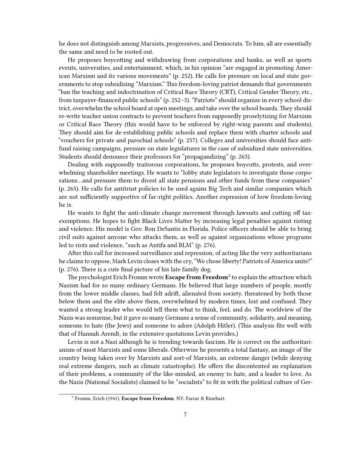he does not distinguish among Marxists, progressives, and Democrats. To him, all are essentially the same and need to be rooted out.

He proposes boycotting and withdrawing from corporations and banks, as well as sports events, universities, and entertainment, which, in his opinion "are engaged in promoting American Marxism and its various movements" (p. 252). He calls for pressure on local and state governments to stop subsidizing "Marxism." This freedom-loving patriot demands that governments "ban the teaching and indoctrination of Critical Race Theory (CRT), Critical Gender Theory, etc., from taxpayer-financed public schools" (p. 252–3). "Patriots" should organize in every school district, overwhelm the school board at open meetings, and take over the school boards. They should re-write teacher union contracts to prevent teachers from supposedly proselytizing for Marxism or Critical Race Theory (this would have to be enforced by right-wing parents and students). They should aim for de-establishing public schools and replace them with charter schools and "vouchers for private and parochial schools" (p. 257). Colleges and universities should face antifund raising campaigns, pressure on state legislatures in the case of subsidized state universities. Students should denounce their professors for "propagandizing" (p. 263).

Dealing with supposedly traitorous corporations, he proposes boycotts, protests, and overwhelming shareholder meetings. He wants to "lobby state legislators to investigate those corporations…and pressure them to divest all state pensions and other funds from these companies" (p. 265). He calls for antitrust policies to be used agains Big Tech and similar companies which are not sufficiently supportive of far-right politics. Another expression of how freedom-loving he is.

He wants to fight the anti-climate change movement through lawsuits and cutting off taxexemptions. He hopes to fight Black Lives Matter by increasing legal penalties against rioting and violence. His model is Gov. Ron DeSantis in Florida. Police officers should be able to bring civil suits against anyone who attacks them, as well as against organizations whose programs led to riots and violence, "such as Antifa and BLM" (p. 276).

After this call for increased surveillance and repression, of acting like the very authoritarians he claims to oppose, Mark Levin closes with the cry, "We chose liberty! Patriots of America unite!" (p. 276). There is a cute final picture of his late family dog.

The psychologist Erich Fromm wrote **Escape from Freedom**<sup>2</sup> to explain the attraction which Nazism had for so many ordinary Germans. He believed that large numbers of people, mostly from the lower middle classes, had felt adrift, alienated from society, threatened by both those below them and the elite above them, overwhelmed by modern times, lost and confused. They wanted a strong leader who would tell them what to think, feel, and do. The worldview of the Nazis was nonsense, but it gave so many Germans a sense of community, solidarity, and meaning, someone to hate (the Jews) and someone to adore (Adolph Hitler). (This analysis fits well with that of Hannah Arendt, in the extensive quotations Levin provides.)

Levin is not a Nazi although he is trending towards fascism. He is correct on the authoritarianism of most Marxists and some liberals. Otherwise he presents a total fantasy, an image of the country being taken over by Marxists and sort-of Marxists, an extreme danger (while denying real extreme dangers, such as climate catastrophe). He offers the discontented an explanation of their problems, a community of the like-minded, an enemy to hate, and a leader to love. As the Nazis (National Socialists) claimed to be "socialists" to fit in with the political culture of Ger-

<sup>2</sup> Fromm, Erich (1941). **Escape from Freedom**. NY: Farrar & Rinehart.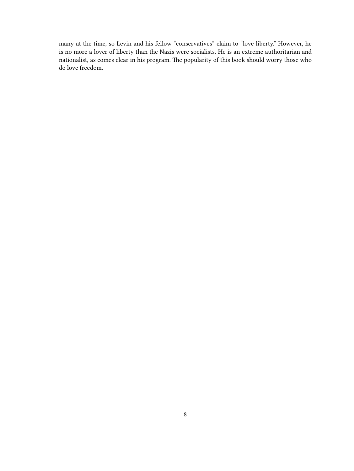many at the time, so Levin and his fellow "conservatives" claim to "love liberty." However, he is no more a lover of liberty than the Nazis were socialists. He is an extreme authoritarian and nationalist, as comes clear in his program. The popularity of this book should worry those who do love freedom.